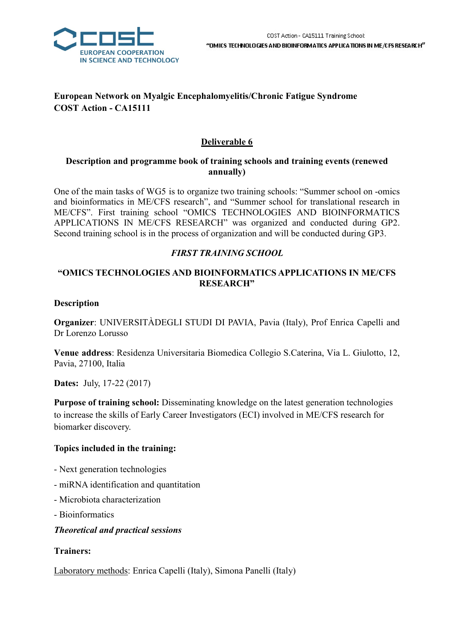

# European Network on Myalgic Encephalomyelitis/Chronic Fatigue Syndrome COST Action - CA15111

# Deliverable 6

### Description and programme book of training schools and training events (renewed annually)

One of the main tasks of WG5 is to organize two training schools: "Summer school on -omics and bioinformatics in ME/CFS research", and "Summer school for translational research in ME/CFS". First training school "OMICS TECHNOLOGIES AND BIOINFORMATICS APPLICATIONS IN ME/CFS RESEARCH" was organized and conducted during GP2. Second training school is in the process of organization and will be conducted during GP3.

# FIRST TRAINING SCHOOL

# "OMICS TECHNOLOGIES AND BIOINFORMATICS APPLICATIONS IN ME/CFS RESEARCH"

### Description

Organizer: UNIVERSITÀDEGLI STUDI DI PAVIA, Pavia (Italy), Prof Enrica Capelli and Dr Lorenzo Lorusso

Venue address: Residenza Universitaria Biomedica Collegio S.Caterina, Via L. Giulotto, 12, Pavia, 27100, Italia

Dates: July, 17-22 (2017)

Purpose of training school: Disseminating knowledge on the latest generation technologies to increase the skills of Early Career Investigators (ECI) involved in ME/CFS research for biomarker discovery.

# Topics included in the training:

- Next generation technologies
- miRNA identification and quantitation
- Microbiota characterization
- Bioinformatics

# Theoretical and practical sessions

### Trainers:

Laboratory methods: Enrica Capelli (Italy), Simona Panelli (Italy)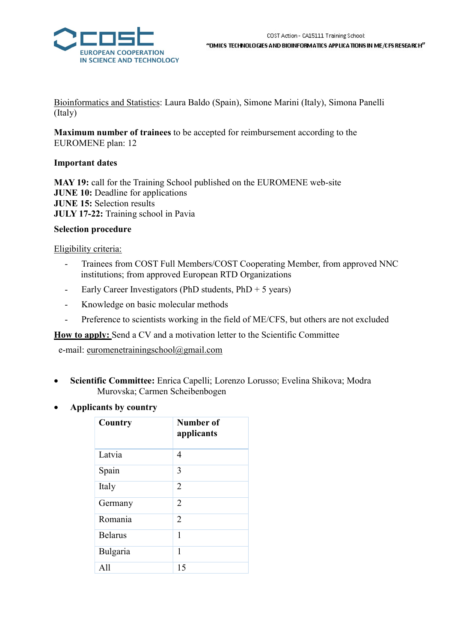

Bioinformatics and Statistics: Laura Baldo (Spain), Simone Marini (Italy), Simona Panelli (Italy)

Maximum number of trainees to be accepted for reimbursement according to the EUROMENE plan: 12

### Important dates

MAY 19: call for the Training School published on the EUROMENE web-site JUNE 10: Deadline for applications JUNE 15: Selection results JULY 17-22: Training school in Pavia

### Selection procedure

### Eligibility criteria:

- Trainees from COST Full Members/COST Cooperating Member, from approved NNC institutions; from approved European RTD Organizations
- Early Career Investigators (PhD students, PhD + 5 years)
- Knowledge on basic molecular methods
- Preference to scientists working in the field of ME/CFS, but others are not excluded

How to apply: Send a CV and a motivation letter to the Scientific Committee

e-mail: euromenetrainingschool@gmail.com

- Scientific Committee: Enrica Capelli; Lorenzo Lorusso; Evelina Shikova; Modra Murovska; Carmen Scheibenbogen
- Applicants by country

| Country        | Number of<br>applicants |
|----------------|-------------------------|
| Latvia         | 4                       |
| Spain          | 3                       |
| Italy          | $\overline{2}$          |
| Germany        | $\overline{2}$          |
| Romania        | $\overline{2}$          |
| <b>Belarus</b> | 1                       |
| Bulgaria       | 1                       |
| A11            | 15                      |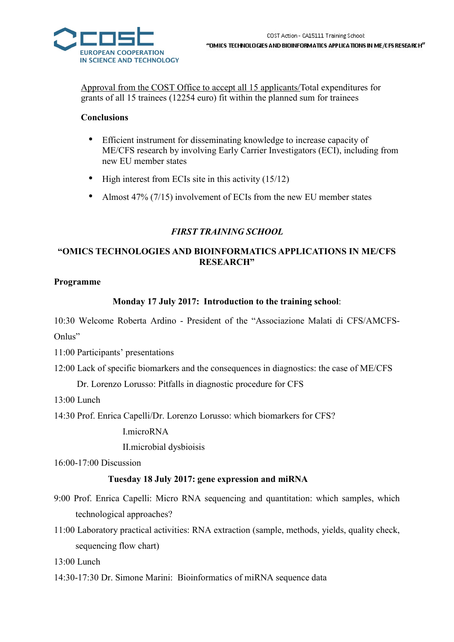

Approval from the COST Office to accept all 15 applicants/Total expenditures for grants of all 15 trainees (12254 euro) fit within the planned sum for trainees

### Conclusions

- Efficient instrument for disseminating knowledge to increase capacity of ME/CFS research by involving Early Carrier Investigators (ECI), including from new EU member states
- High interest from ECIs site in this activity (15/12)
- Almost 47% (7/15) involvement of ECIs from the new EU member states

### FIRST TRAINING SCHOOL

# "OMICS TECHNOLOGIES AND BIOINFORMATICS APPLICATIONS IN ME/CFS RESEARCH"

### Programme

# Monday 17 July 2017: Introduction to the training school:

10:30 Welcome Roberta Ardino - President of the "Associazione Malati di CFS/AMCFS-Onlus"

11:00 Participants' presentations

12:00 Lack of specific biomarkers and the consequences in diagnostics: the case of ME/CFS

Dr. Lorenzo Lorusso: Pitfalls in diagnostic procedure for CFS

13:00 Lunch

14:30 Prof. Enrica Capelli/Dr. Lorenzo Lorusso: which biomarkers for CFS?

I.microRNA

II.microbial dysbioisis

16:00-17:00 Discussion

### Tuesday 18 July 2017: gene expression and miRNA

- 9:00 Prof. Enrica Capelli: Micro RNA sequencing and quantitation: which samples, which technological approaches?
- 11:00 Laboratory practical activities: RNA extraction (sample, methods, yields, quality check, sequencing flow chart)

13:00 Lunch

14:30-17:30 Dr. Simone Marini: Bioinformatics of miRNA sequence data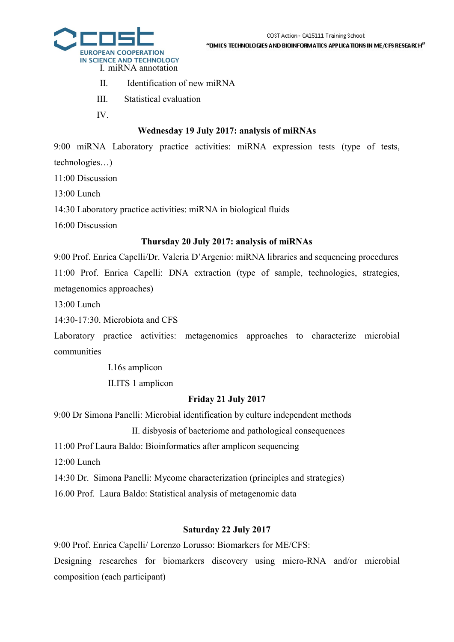#### "OMICS TECHNOLOGIES AND BIOINFORMATICS APPLICATIONS IN ME/CFS RESEARCH"



- II. Identification of new miRNA
- III. Statistical evaluation
- IV.

# Wednesday 19 July 2017: analysis of miRNAs

9:00 miRNA Laboratory practice activities: miRNA expression tests (type of tests, technologies…)

11:00 Discussion

13:00 Lunch

14:30 Laboratory practice activities: miRNA in biological fluids

16:00 Discussion

# Thursday 20 July 2017: analysis of miRNAs

9:00 Prof. Enrica Capelli/Dr. Valeria D'Argenio: miRNA libraries and sequencing procedures 11:00 Prof. Enrica Capelli: DNA extraction (type of sample, technologies, strategies, metagenomics approaches)

13:00 Lunch

14:30-17:30. Microbiota and CFS

Laboratory practice activities: metagenomics approaches to characterize microbial communities

I.16s amplicon

II.ITS 1 amplicon

# Friday 21 July 2017

9:00 Dr Simona Panelli: Microbial identification by culture independent methods

II. disbyosis of bacteriome and pathological consequences

11:00 Prof Laura Baldo: Bioinformatics after amplicon sequencing

12:00 Lunch

14:30 Dr. Simona Panelli: Mycome characterization (principles and strategies)

16.00 Prof. Laura Baldo: Statistical analysis of metagenomic data

# Saturday 22 July 2017

9:00 Prof. Enrica Capelli/ Lorenzo Lorusso: Biomarkers for ME/CFS:

Designing researches for biomarkers discovery using micro-RNA and/or microbial composition (each participant)